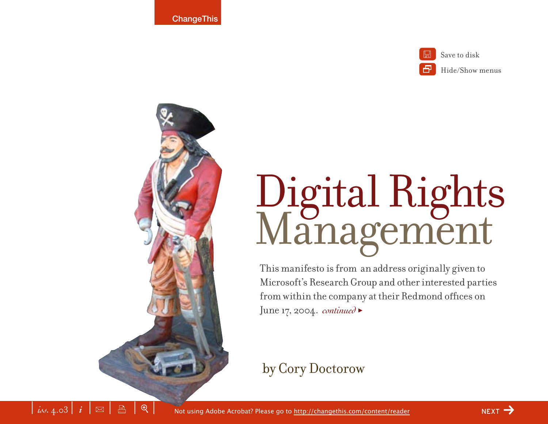**ChangeThis** 

 $\left| i \right| \left| i \right| \leq \left| \right| \left| \right| \circledast$ 



Save to disk

Hide/Show menus

# Management Digital Rights

This manifesto is from an address originally given to Microsoft's Research Group and other interested parties from within the company at their Redmond offices on June 17, 2004. *continued* >

by Cory Doctorow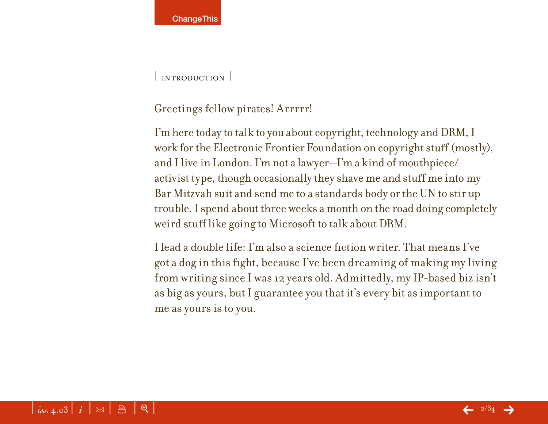

|INTRODUCTION|

Greetings fellow pirates! Arrrrr!

I'm here today to talk to you about copyright, technology and DRM, I work for the Electronic Frontier Foundation on copyright stuff (mostly), and I live in London. I'm not a lawyer—I'm a kind of mouthpiece/ activist type, though occasionally they shave me and stuff me into my Bar Mitzvah suit and send me to a standards body or the UN to stir up trouble. I spend about three weeks a month on the road doing completely weird stuff like going to Microsoft to talk about DRM.

I lead a double life: I'm also a science fiction writer. That means I've got a dog in this fight, because I've been dreaming of making my living from writing since I was 12 years old. Admittedly, my IP-based biz isn't as big as yours, but I guarantee you that it's every bit as important to me as yours is to you.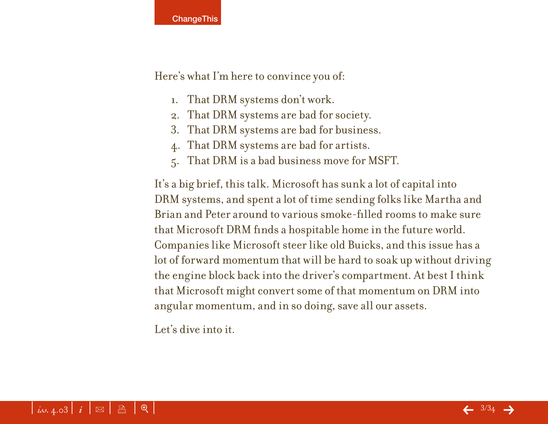

Here's what I'm here to convince you of:

- 1. That DRM systems don't work.
- 2. That DRM systems are bad for society.
- 3. That DRM systems are bad for business.
- 4. That DRM systems are bad for artists.
- 5. That DRM is a bad business move for MSFT.

It's a big brief, this talk. Microsoft has sunk a lot of capital into DRM systems, and spent a lot of time sending folks like Martha and Brian and Peter around to various smoke-filled rooms to make sure that Microsoft DRM finds a hospitable home in the future world. Companies like Microsoft steer like old Buicks, and this issue has a lot of forward momentum that will be hard to soak up without driving the engine block back into the driver's compartment. At best I think that Microsoft might convert some of that momentum on DRM into angular momentum, and in so doing, save all our assets.

Let's dive into it.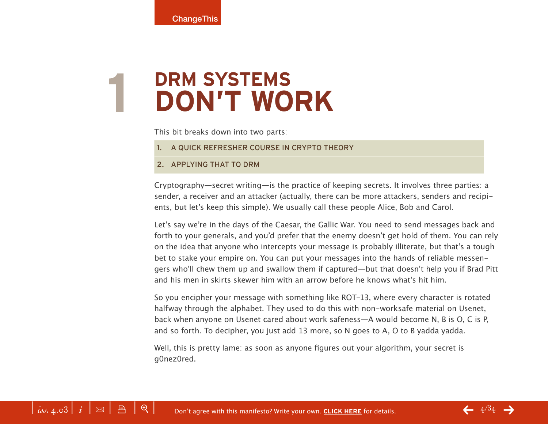#### **DRM SYSTEMS DON'T WORK 1**

This bit breaks down into two parts:

- 1. A QUICK REFRESHER COURSE IN CRYPTO THEORY
- 2. APPLYING THAT TO DRM

Cryptography—secret writing—is the practice of keeping secrets. It involves three parties: a sender, a receiver and an attacker (actually, there can be more attackers, senders and recipients, but let's keep this simple). We usually call these people Alice, Bob and Carol.

Let's say we're in the days of the Caesar, the Gallic War. You need to send messages back and forth to your generals, and you'd prefer that the enemy doesn't get hold of them. You can rely on the idea that anyone who intercepts your message is probably illiterate, but that's a tough bet to stake your empire on. You can put your messages into the hands of reliable messengers who'll chew them up and swallow them if captured—but that doesn't help you if Brad Pitt and his men in skirts skewer him with an arrow before he knows what's hit him.

So you encipher your message with something like ROT-13, where every character is rotated halfway through the alphabet. They used to do this with non-worksafe material on Usenet, back when anyone on Usenet cared about work safeness—A would become N, B is O, C is P, and so forth. To decipher, you just add 13 more, so N goes to A, O to B yadda yadda.

Well, this is pretty lame: as soon as anyone figures out your algorithm, your secret is g0nez0red.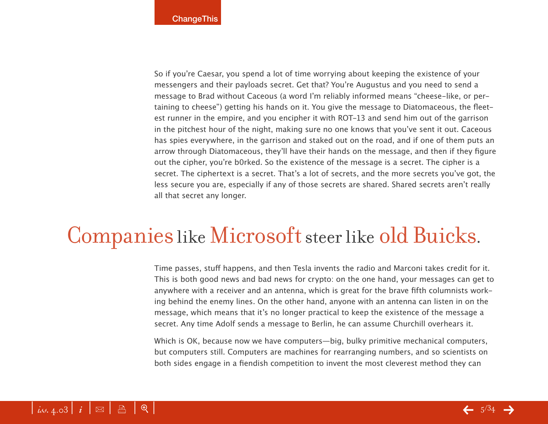So if you're Caesar, you spend a lot of time worrying about keeping the existence of your messengers and their payloads secret. Get that? You're Augustus and you need to send a message to Brad without Caceous (a word I'm reliably informed means "cheese-like, or pertaining to cheese") getting his hands on it. You give the message to Diatomaceous, the fleetest runner in the empire, and you encipher it with ROT-13 and send him out of the garrison in the pitchest hour of the night, making sure no one knows that you've sent it out. Caceous has spies everywhere, in the garrison and staked out on the road, and if one of them puts an arrow through Diatomaceous, they'll have their hands on the message, and then if they figure out the cipher, you're b0rked. So the existence of the message is a secret. The cipher is a secret. The ciphertext is a secret. That's a lot of secrets, and the more secrets you've got, the less secure you are, especially if any of those secrets are shared. Shared secrets aren't really all that secret any longer.

# Companies like Microsoft steer like old Buicks.

Time passes, stuff happens, and then Tesla invents the radio and Marconi takes credit for it. This is both good news and bad news for crypto: on the one hand, your messages can get to anywhere with a receiver and an antenna, which is great for the brave fifth columnists working behind the enemy lines. On the other hand, anyone with an antenna can listen in on the message, which means that it's no longer practical to keep the existence of the message a secret. Any time Adolf sends a message to Berlin, he can assume Churchill overhears it.

Which is OK, because now we have computers—big, bulky primitive mechanical computers, but computers still. Computers are machines for rearranging numbers, and so scientists on both sides engage in a fiendish competition to invent the most cleverest method they can

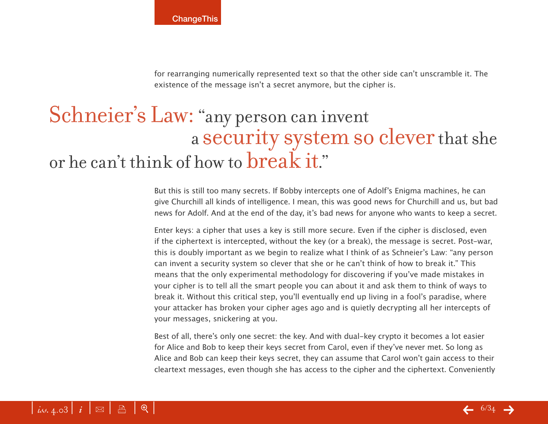for rearranging numerically represented text so that the other side can't unscramble it. The existence of the message isn't a secret anymore, but the cipher is.

# Schneier's Law: "any person can invent a security system so clever that she or he can't think of how to break it."

But this is still too many secrets. If Bobby intercepts one of Adolf's Enigma machines, he can give Churchill all kinds of intelligence. I mean, this was good news for Churchill and us, but bad news for Adolf. And at the end of the day, it's bad news for anyone who wants to keep a secret.

Enter keys: a cipher that uses a key is still more secure. Even if the cipher is disclosed, even if the ciphertext is intercepted, without the key (or a break), the message is secret. Post-war, this is doubly important as we begin to realize what I think of as Schneier's Law: "any person can invent a security system so clever that she or he can't think of how to break it." This means that the only experimental methodology for discovering if you've made mistakes in your cipher is to tell all the smart people you can about it and ask them to think of ways to break it. Without this critical step, you'll eventually end up living in a fool's paradise, where your attacker has broken your cipher ages ago and is quietly decrypting all her intercepts of your messages, snickering at you.

Best of all, there's only one secret: the key. And with dual-key crypto it becomes a lot easier for Alice and Bob to keep their keys secret from Carol, even if they've never met. So long as Alice and Bob can keep their keys secret, they can assume that Carol won't gain access to their cleartext messages, even though she has access to the cipher and the ciphertext. Conveniently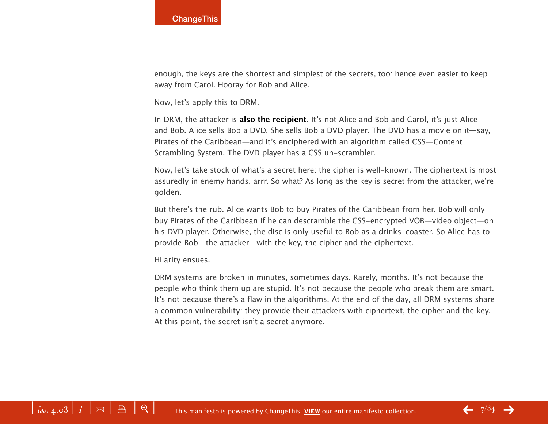enough, the keys are the shortest and simplest of the secrets, too: hence even easier to keep away from Carol. Hooray for Bob and Alice.

Now, let's apply this to DRM.

In DRM, the attacker is **also the recipient**. It's not Alice and Bob and Carol, it's just Alice and Bob. Alice sells Bob a DVD. She sells Bob a DVD player. The DVD has a movie on it—say, Pirates of the Caribbean—and it's enciphered with an algorithm called CSS—Content Scrambling System. The DVD player has a CSS un-scrambler.

Now, let's take stock of what's a secret here: the cipher is well-known. The ciphertext is most assuredly in enemy hands, arrr. So what? As long as the key is secret from the attacker, we're golden.

But there's the rub. Alice wants Bob to buy Pirates of the Caribbean from her. Bob will only buy Pirates of the Caribbean if he can descramble the CSS-encrypted VOB—video object—on his DVD player. Otherwise, the disc is only useful to Bob as a drinks-coaster. So Alice has to provide Bob—the attacker—with the key, the cipher and the ciphertext.

Hilarity ensues.

DRM systems are broken in minutes, sometimes days. Rarely, months. It's not because the people who think them up are stupid. It's not because the people who break them are smart. It's not because there's a flaw in the algorithms. At the end of the day, all DRM systems share a common vulnerability: they provide their attackers with ciphertext, the cipher and the key. At this point, the secret isn't a secret anymore.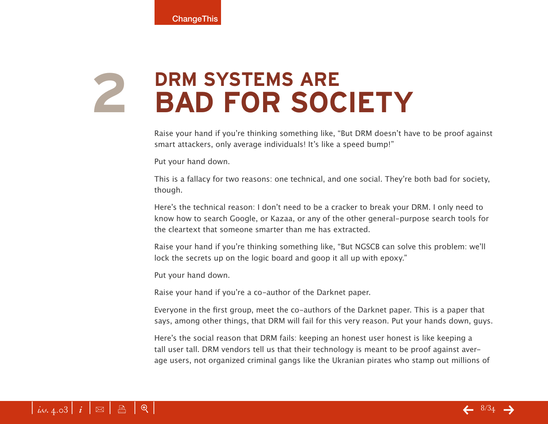#### **DRM SYSTEMS ARE BAD FOR SOCIETY 2**

Raise your hand if you're thinking something like, "But DRM doesn't have to be proof against smart attackers, only average individuals! It's like a speed bump!"

Put your hand down.

This is a fallacy for two reasons: one technical, and one social. They're both bad for society, though.

Here's the technical reason: I don't need to be a cracker to break your DRM. I only need to know how to search Google, or Kazaa, or any of the other general-purpose search tools for the cleartext that someone smarter than me has extracted.

Raise your hand if you're thinking something like, "But NGSCB can solve this problem: we'll lock the secrets up on the logic board and goop it all up with epoxy."

Put your hand down.

Raise your hand if you're a co-author of the Darknet paper.

Everyone in the first group, meet the co-authors of the Darknet paper. This is a paper that says, among other things, that DRM will fail for this very reason. Put your hands down, guys.

Here's the social reason that DRM fails: keeping an honest user honest is like keeping a tall user tall. DRM vendors tell us that their technology is meant to be proof against average users, not organized criminal gangs like the Ukranian pirates who stamp out millions of

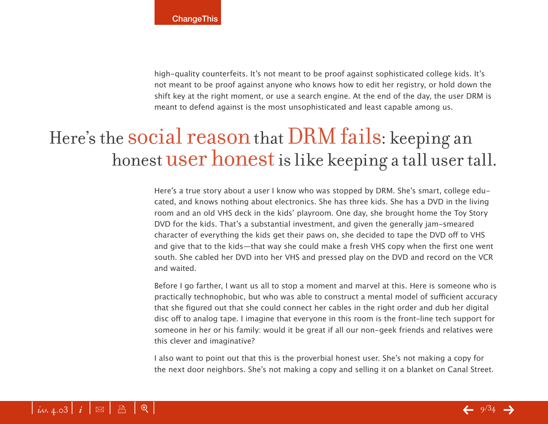high-quality counterfeits. It's not meant to be proof against sophisticated college kids. It's not meant to be proof against anyone who knows how to edit her registry, or hold down the shift key at the right moment, or use a search engine. At the end of the day, the user DRM is meant to defend against is the most unsophisticated and least capable among us.

# Here's the social reason that DRM fails: keeping an honest user honest is like keeping a tall user tall.

Here's a true story about a user I know who was stopped by DRM. She's smart, college educated, and knows nothing about electronics. She has three kids. She has a DVD in the living room and an old VHS deck in the kids' playroom. One day, she brought home the Toy Story DVD for the kids. That's a substantial investment, and given the generally jam-smeared character of everything the kids get their paws on, she decided to tape the DVD off to VHS and give that to the kids—that way she could make a fresh VHS copy when the first one went south. She cabled her DVD into her VHS and pressed play on the DVD and record on the VCR and waited.

Before I go farther, I want us all to stop a moment and marvel at this. Here is someone who is practically technophobic, but who was able to construct a mental model of sufficient accuracy that she figured out that she could connect her cables in the right order and dub her digital disc off to analog tape. I imagine that everyone in this room is the front-line tech support for someone in her or his family: would it be great if all our non-geek friends and relatives were this clever and imaginative?

I also want to point out that this is the proverbial honest user. She's not making a copy for the next door neighbors. She's not making a copy and selling it on a blanket on Canal Street.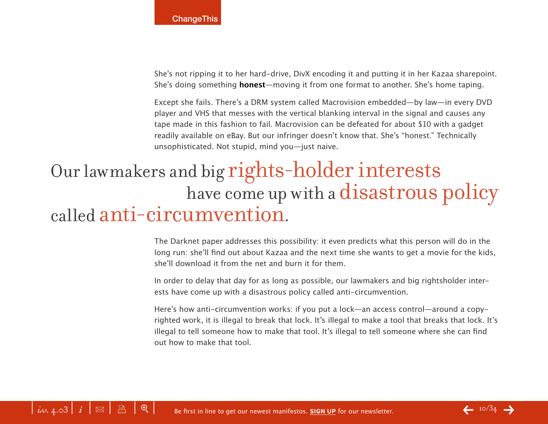She's not ripping it to her hard-drive, DivX encoding it and putting it in her Kazaa sharepoint. She's doing something **honest**—moving it from one format to another. She's home taping.

Except she fails. There's a DRM system called Macrovision embedded—by law—in every DVD player and VHS that messes with the vertical blanking interval in the signal and causes any tape made in this fashion to fail. Macrovision can be defeated for about \$10 with a gadget readily available on eBay. But our infringer doesn't know that. She's "honest." Technically unsophisticated. Not stupid, mind you—just naive.

### Our lawmakers and big rights-holder interests have come up with a disastrous policy called anti-circumvention.

The Darknet paper addresses this possibility: it even predicts what this person will do in the long run: she'll find out about Kazaa and the next time she wants to get a movie for the kids, she'll download it from the net and burn it for them.

In order to delay that day for as long as possible, our lawmakers and big rightsholder interests have come up with a disastrous policy called anti-circumvention.

Here's how anti-circumvention works: if you put a lock—an access control—around a copyrighted work, it is illegal to break that lock. It's illegal to make a tool that breaks that lock. It's illegal to tell someone how to make that tool. It's illegal to tell someone where she can find out how to make that tool.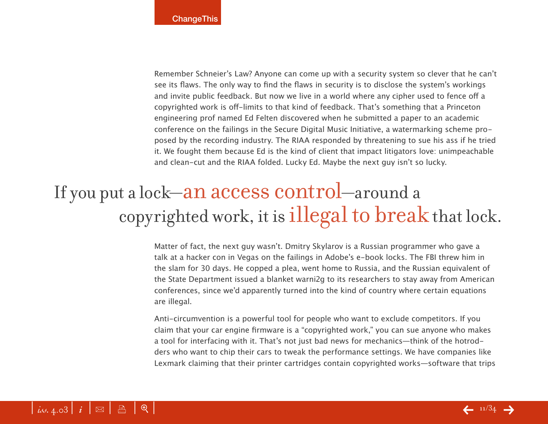Remember Schneier's Law? Anyone can come up with a security system so clever that he can't see its flaws. The only way to find the flaws in security is to disclose the system's workings and invite public feedback. But now we live in a world where any cipher used to fence off a copyrighted work is off-limits to that kind of feedback. That's something that a Princeton engineering prof named Ed Felten discovered when he submitted a paper to an academic conference on the failings in the Secure Digital Music Initiative, a watermarking scheme proposed by the recording industry. The RIAA responded by threatening to sue his ass if he tried it. We fought them because Ed is the kind of client that impact litigators love: unimpeachable and clean-cut and the RIAA folded. Lucky Ed. Maybe the next guy isn't so lucky.

## If you put a lock—an access control—around a copyrighted work, it is illegal to break that lock.

Matter of fact, the next guy wasn't. Dmitry Skylarov is a Russian programmer who gave a talk at a hacker con in Vegas on the failings in Adobe's e-book locks. The FBI threw him in the slam for 30 days. He copped a plea, went home to Russia, and the Russian equivalent of the State Department issued a blanket warni2g to its researchers to stay away from American conferences, since we'd apparently turned into the kind of country where certain equations are illegal.

Anti-circumvention is a powerful tool for people who want to exclude competitors. If you claim that your car engine firmware is a "copyrighted work," you can sue anyone who makes a tool for interfacing with it. That's not just bad news for mechanics—think of the hotrodders who want to chip their cars to tweak the performance settings. We have companies like Lexmark claiming that their printer cartridges contain copyrighted works—software that trips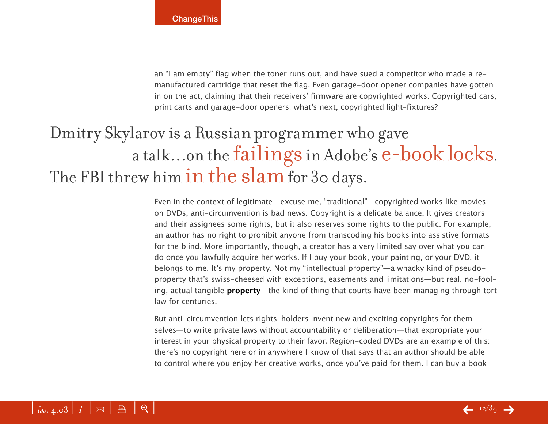an "I am empty" flag when the toner runs out, and have sued a competitor who made a remanufactured cartridge that reset the flag. Even garage-door opener companies have gotten in on the act, claiming that their receivers' firmware are copyrighted works. Copyrighted cars, print carts and garage-door openers: what's next, copyrighted light-fixtures?

### Dmitry Skylarov is a Russian programmer who gave a talk…on the failings in Adobe's e-book locks. The FBI threw him in the slam for 30 days.

Even in the context of legitimate—excuse me, "traditional"—copyrighted works like movies on DVDs, anti-circumvention is bad news. Copyright is a delicate balance. It gives creators and their assignees some rights, but it also reserves some rights to the public. For example, an author has no right to prohibit anyone from transcoding his books into assistive formats for the blind. More importantly, though, a creator has a very limited say over what you can do once you lawfully acquire her works. If I buy your book, your painting, or your DVD, it belongs to me. It's my property. Not my "intellectual property"—a whacky kind of pseudoproperty that's swiss-cheesed with exceptions, easements and limitations—but real, no-fooling, actual tangible **property**—the kind of thing that courts have been managing through tort law for centuries.

But anti-circumvention lets rights-holders invent new and exciting copyrights for themselves—to write private laws without accountability or deliberation—that expropriate your interest in your physical property to their favor. Region-coded DVDs are an example of this: there's no copyright here or in anywhere I know of that says that an author should be able to control where you enjoy her creative works, once you've paid for them. I can buy a book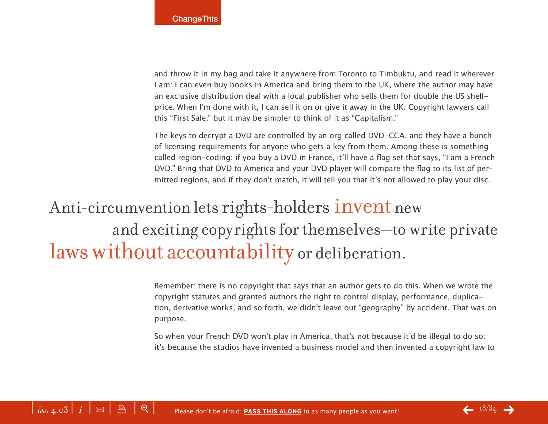and throw it in my bag and take it anywhere from Toronto to Timbuktu, and read it wherever I am: I can even buy books in America and bring them to the UK, where the author may have an exclusive distribution deal with a local publisher who sells them for double the US shelfprice. When I'm done with it, I can sell it on or give it away in the UK. Copyright lawyers call this "First Sale," but it may be simpler to think of it as "Capitalism."

The keys to decrypt a DVD are controlled by an org called DVD-CCA, and they have a bunch of licensing requirements for anyone who gets a key from them. Among these is something called region-coding: if you buy a DVD in France, it'll have a flag set that says, "I am a French DVD." Bring that DVD to America and your DVD player will compare the flag to its list of permitted regions, and if they don't match, it will tell you that it's not allowed to play your disc.

### Anti-circumvention lets rights-holders invent new and exciting copyrights for themselves—to write private laws without accountability or deliberation.

Remember: there is no copyright that says that an author gets to do this. When we wrote the copyright statutes and granted authors the right to control display, performance, duplication, derivative works, and so forth, we didn't leave out "geography" by accident. That was on purpose.

So when your French DVD won't play in America, that's not because it'd be illegal to do so: it's because the studios have invented a business model and then invented a copyright law to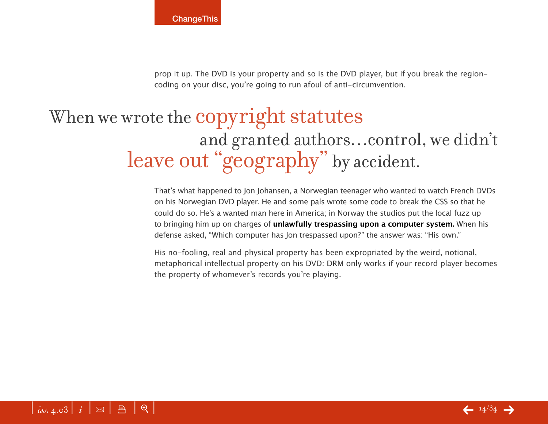prop it up. The DVD is your property and so is the DVD player, but if you break the regioncoding on your disc, you're going to run afoul of anti-circumvention.

# When we wrote the copyright statutes and granted authors…control, we didn't leave out "geography" by accident.

That's what happened to Jon Johansen, a Norwegian teenager who wanted to watch French DVDs on his Norwegian DVD player. He and some pals wrote some code to break the CSS so that he could do so. He's a wanted man here in America; in Norway the studios put the local fuzz up to bringing him up on charges of **unlawfully trespassing upon a computer system.** When his defense asked, "Which computer has Jon trespassed upon?" the answer was: "His own."

His no-fooling, real and physical property has been expropriated by the weird, notional, metaphorical intellectual property on his DVD: DRM only works if your record player becomes the property of whomever's records you're playing.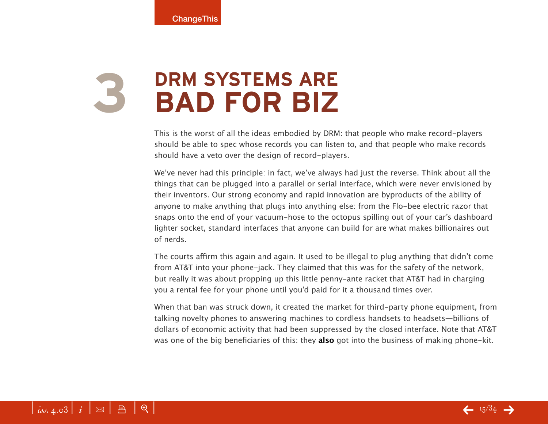#### **DRM SYSTEMS ARE BAD FOR BIZ 3**

This is the worst of all the ideas embodied by DRM: that people who make record-players should be able to spec whose records you can listen to, and that people who make records should have a veto over the design of record-players.

We've never had this principle: in fact, we've always had just the reverse. Think about all the things that can be plugged into a parallel or serial interface, which were never envisioned by their inventors. Our strong economy and rapid innovation are byproducts of the ability of anyone to make anything that plugs into anything else: from the Flo-bee electric razor that snaps onto the end of your vacuum-hose to the octopus spilling out of your car's dashboard lighter socket, standard interfaces that anyone can build for are what makes billionaires out of nerds.

The courts affirm this again and again. It used to be illegal to plug anything that didn't come from AT&T into your phone-jack. They claimed that this was for the safety of the network, but really it was about propping up this little penny-ante racket that AT&T had in charging you a rental fee for your phone until you'd paid for it a thousand times over.

When that ban was struck down, it created the market for third-party phone equipment, from talking novelty phones to answering machines to cordless handsets to headsets—billions of dollars of economic activity that had been suppressed by the closed interface. Note that AT&T was one of the big beneficiaries of this: they **also** got into the business of making phone-kit.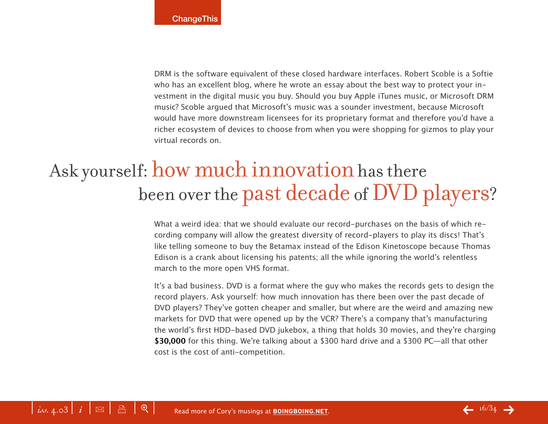DRM is the software equivalent of these closed hardware interfaces. Robert Scoble is a Softie who has an excellent blog, where he wrote an essay about the best way to protect your investment in the digital music you buy. Should you buy Apple iTunes music, or Microsoft DRM music? Scoble argued that Microsoft's music was a sounder investment, because Microsoft would have more downstream licensees for its proprietary format and therefore you'd have a richer ecosystem of devices to choose from when you were shopping for gizmos to play your virtual records on.

# Ask yourself: how much innovation has there been over the past decade of DVD players?

What a weird idea: that we should evaluate our record-purchases on the basis of which recording company will allow the greatest diversity of record-players to play its discs! That's like telling someone to buy the Betamax instead of the Edison Kinetoscope because Thomas Edison is a crank about licensing his patents; all the while ignoring the world's relentless march to the more open VHS format.

It's a bad business. DVD is a format where the guy who makes the records gets to design the record players. Ask yourself: how much innovation has there been over the past decade of DVD players? They've gotten cheaper and smaller, but where are the weird and amazing new markets for DVD that were opened up by the VCR? There's a company that's manufacturing the world's first HDD-based DVD jukebox, a thing that holds 30 movies, and they're charging **\$30,000** for this thing. We're talking about a \$300 hard drive and a \$300 PC—all that other cost is the cost of anti-competition.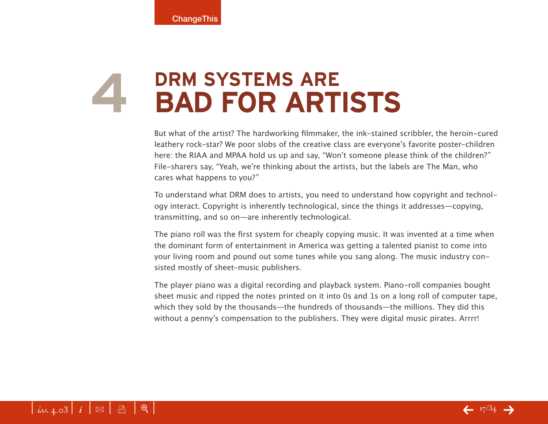#### **DRM SYSTEMS ARE BAD FOR ARTISTS 4**

But what of the artist? The hardworking filmmaker, the ink-stained scribbler, the heroin-cured leathery rock-star? We poor slobs of the creative class are everyone's favorite poster-children here: the RIAA and MPAA hold us up and say, "Won't someone please think of the children?" File-sharers say, "Yeah, we're thinking about the artists, but the labels are The Man, who cares what happens to you?"

To understand what DRM does to artists, you need to understand how copyright and technology interact. Copyright is inherently technological, since the things it addresses—copying, transmitting, and so on—are inherently technological.

The piano roll was the first system for cheaply copying music. It was invented at a time when the dominant form of entertainment in America was getting a talented pianist to come into your living room and pound out some tunes while you sang along. The music industry consisted mostly of sheet-music publishers.

The player piano was a digital recording and playback system. Piano-roll companies bought sheet music and ripped the notes printed on it into 0s and 1s on a long roll of computer tape, which they sold by the thousands—the hundreds of thousands—the millions. They did this without a penny's compensation to the publishers. They were digital music pirates. Arrrr!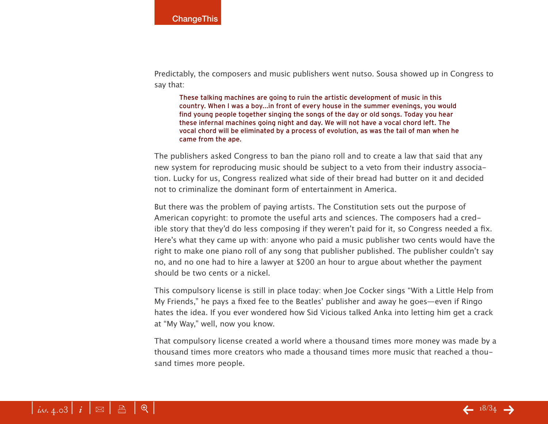Predictably, the composers and music publishers went nutso. Sousa showed up in Congress to say that:

These talking machines are going to ruin the artistic development of music in this country. When I was a boy...in front of every house in the summer evenings, you would find young people together singing the songs of the day or old songs. Today you hear these infernal machines going night and day. We will not have a vocal chord left. The vocal chord will be eliminated by a process of evolution, as was the tail of man when he came from the ape.

The publishers asked Congress to ban the piano roll and to create a law that said that any new system for reproducing music should be subject to a veto from their industry association. Lucky for us, Congress realized what side of their bread had butter on it and decided not to criminalize the dominant form of entertainment in America.

But there was the problem of paying artists. The Constitution sets out the purpose of American copyright: to promote the useful arts and sciences. The composers had a credible story that they'd do less composing if they weren't paid for it, so Congress needed a fix. Here's what they came up with: anyone who paid a music publisher two cents would have the right to make one piano roll of any song that publisher published. The publisher couldn't say no, and no one had to hire a lawyer at \$200 an hour to argue about whether the payment should be two cents or a nickel.

This compulsory license is still in place today: when Joe Cocker sings "With a Little Help from My Friends," he pays a fixed fee to the Beatles' publisher and away he goes—even if Ringo hates the idea. If you ever wondered how Sid Vicious talked Anka into letting him get a crack at "My Way," well, now you know.

That compulsory license created a world where a thousand times more money was made by a thousand times more creators who made a thousand times more music that reached a thousand times more people.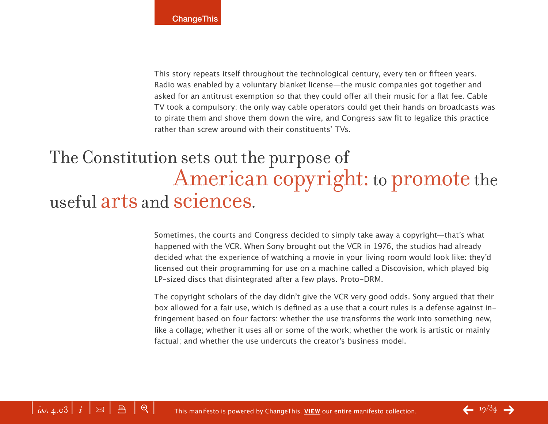This story repeats itself throughout the technological century, every ten or fifteen years. Radio was enabled by a voluntary blanket license—the music companies got together and asked for an antitrust exemption so that they could offer all their music for a flat fee. Cable TV took a compulsory: the only way cable operators could get their hands on broadcasts was to pirate them and shove them down the wire, and Congress saw fit to legalize this practice rather than screw around with their constituents' TVs.

### The Constitution sets out the purpose of American copyright: to promote the useful arts and sciences.

Sometimes, the courts and Congress decided to simply take away a copyright—that's what happened with the VCR. When Sony brought out the VCR in 1976, the studios had already decided what the experience of watching a movie in your living room would look like: they'd licensed out their programming for use on a machine called a Discovision, which played big LP-sized discs that disintegrated after a few plays. Proto-DRM.

The copyright scholars of the day didn't give the VCR very good odds. Sony argued that their box allowed for a fair use, which is defined as a use that a court rules is a defense against infringement based on four factors: whether the use transforms the work into something new, like a collage; whether it uses all or some of the work; whether the work is artistic or mainly factual; and whether the use undercuts the creator's business model.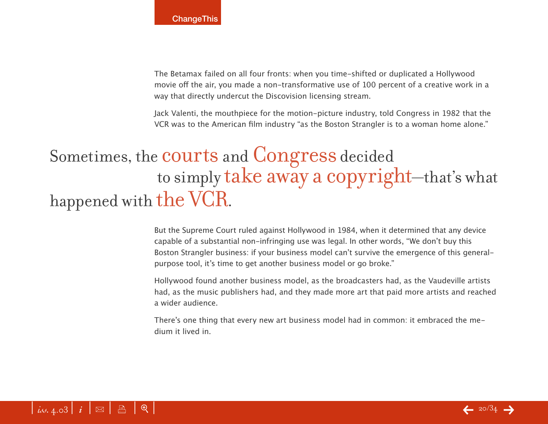The Betamax failed on all four fronts: when you time-shifted or duplicated a Hollywood movie off the air, you made a non-transformative use of 100 percent of a creative work in a way that directly undercut the Discovision licensing stream.

Jack Valenti, the mouthpiece for the motion-picture industry, told Congress in 1982 that the VCR was to the American film industry "as the Boston Strangler is to a woman home alone."

### Sometimes, the courts and Congress decided to simply take away a copyright—that's what happened with the VCR.

But the Supreme Court ruled against Hollywood in 1984, when it determined that any device capable of a substantial non-infringing use was legal. In other words, "We don't buy this Boston Strangler business: if your business model can't survive the emergence of this generalpurpose tool, it's time to get another business model or go broke."

Hollywood found another business model, as the broadcasters had, as the Vaudeville artists had, as the music publishers had, and they made more art that paid more artists and reached a wider audience.

There's one thing that every new art business model had in common: it embraced the medium it lived in.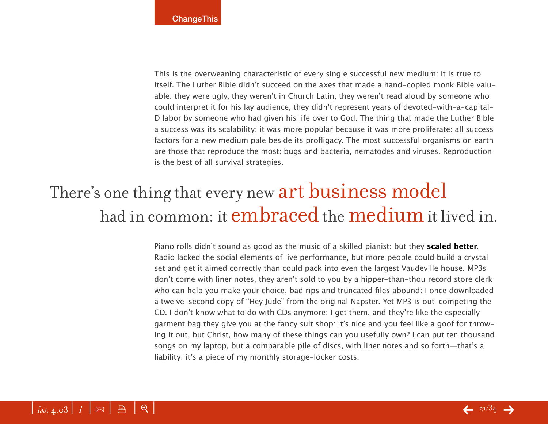This is the overweaning characteristic of every single successful new medium: it is true to itself. The Luther Bible didn't succeed on the axes that made a hand-copied monk Bible valuable: they were ugly, they weren't in Church Latin, they weren't read aloud by someone who could interpret it for his lay audience, they didn't represent years of devoted-with-a-capital-D labor by someone who had given his life over to God. The thing that made the Luther Bible a success was its scalability: it was more popular because it was more proliferate: all success factors for a new medium pale beside its profligacy. The most successful organisms on earth are those that reproduce the most: bugs and bacteria, nematodes and viruses. Reproduction is the best of all survival strategies.

### There's one thing that every new  $art$  business model had in common: it embraced the medium it lived in.

Piano rolls didn't sound as good as the music of a skilled pianist: but they **scaled better**. Radio lacked the social elements of live performance, but more people could build a crystal set and get it aimed correctly than could pack into even the largest Vaudeville house. MP3s don't come with liner notes, they aren't sold to you by a hipper-than-thou record store clerk who can help you make your choice, bad rips and truncated files abound: I once downloaded a twelve-second copy of "Hey Jude" from the original Napster. Yet MP3 is out-competing the CD. I don't know what to do with CDs anymore: I get them, and they're like the especially garment bag they give you at the fancy suit shop: it's nice and you feel like a goof for throwing it out, but Christ, how many of these things can you usefully own? I can put ten thousand songs on my laptop, but a comparable pile of discs, with liner notes and so forth—that's a liability: it's a piece of my monthly storage-locker costs.

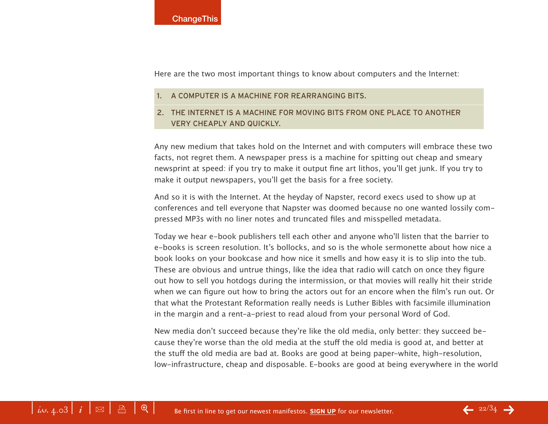#### **ChangeThis**

Here are the two most important things to know about computers and the Internet:

#### 1. A COMPUTER IS A MACHINE FOR REARRANGING BITS.

#### 2. THE INTERNET IS A MACHINE FOR MOVING BITS FROM ONE PLACE TO ANOTHER VERY CHEAPLY AND QUICKLY.

Any new medium that takes hold on the Internet and with computers will embrace these two facts, not regret them. A newspaper press is a machine for spitting out cheap and smeary newsprint at speed: if you try to make it output fine art lithos, you'll get junk. If you try to make it output newspapers, you'll get the basis for a free society.

And so it is with the Internet. At the heyday of Napster, record execs used to show up at conferences and tell everyone that Napster was doomed because no one wanted lossily compressed MP3s with no liner notes and truncated files and misspelled metadata.

Today we hear e-book publishers tell each other and anyone who'll listen that the barrier to e-books is screen resolution. It's bollocks, and so is the whole sermonette about how nice a book looks on your bookcase and how nice it smells and how easy it is to slip into the tub. These are obvious and untrue things, like the idea that radio will catch on once they figure out how to sell you hotdogs during the intermission, or that movies will really hit their stride when we can figure out how to bring the actors out for an encore when the film's run out. Or that what the Protestant Reformation really needs is Luther Bibles with facsimile illumination in the margin and a rent-a-priest to read aloud from your personal Word of God.

New media don't succeed because they're like the old media, only better: they succeed because they're worse than the old media at the stuff the old media is good at, and better at the stuff the old media are bad at. Books are good at being paper-white, high-resolution, low-infrastructure, cheap and disposable. E-books are good at being everywhere in the world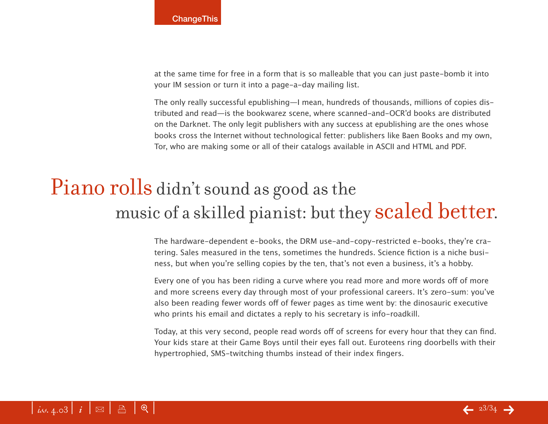at the same time for free in a form that is so malleable that you can just paste-bomb it into your IM session or turn it into a page-a-day mailing list.

The only really successful epublishing—I mean, hundreds of thousands, millions of copies distributed and read—is the bookwarez scene, where scanned-and-OCR'd books are distributed on the Darknet. The only legit publishers with any success at epublishing are the ones whose books cross the Internet without technological fetter: publishers like Baen Books and my own, Tor, who are making some or all of their catalogs available in ASCII and HTML and PDF.

# Piano rolls didn't sound as good as the music of a skilled pianist: but they scaled better.

The hardware-dependent e-books, the DRM use-and-copy-restricted e-books, they're cratering. Sales measured in the tens, sometimes the hundreds. Science fiction is a niche business, but when you're selling copies by the ten, that's not even a business, it's a hobby.

Every one of you has been riding a curve where you read more and more words off of more and more screens every day through most of your professional careers. It's zero-sum: you've also been reading fewer words off of fewer pages as time went by: the dinosauric executive who prints his email and dictates a reply to his secretary is info-roadkill.

Today, at this very second, people read words off of screens for every hour that they can find. Your kids stare at their Game Boys until their eyes fall out. Euroteens ring doorbells with their hypertrophied, SMS-twitching thumbs instead of their index fingers.

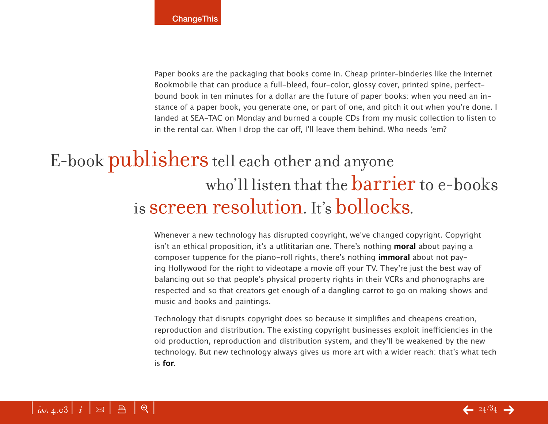Paper books are the packaging that books come in. Cheap printer-binderies like the Internet Bookmobile that can produce a full-bleed, four-color, glossy cover, printed spine, perfectbound book in ten minutes for a dollar are the future of paper books: when you need an instance of a paper book, you generate one, or part of one, and pitch it out when you're done. I landed at SEA-TAC on Monday and burned a couple CDs from my music collection to listen to in the rental car. When I drop the car off, I'll leave them behind. Who needs ʻem?

## E-book publishers tell each other and anyone who'll listen that the barrier to e-books is screen resolution. It's bollocks.

Whenever a new technology has disrupted copyright, we've changed copyright. Copyright isn't an ethical proposition, it's a utlititarian one. There's nothing **moral** about paying a composer tuppence for the piano-roll rights, there's nothing **immoral** about not paying Hollywood for the right to videotape a movie off your TV. They're just the best way of balancing out so that people's physical property rights in their VCRs and phonographs are respected and so that creators get enough of a dangling carrot to go on making shows and music and books and paintings.

Technology that disrupts copyright does so because it simplifies and cheapens creation, reproduction and distribution. The existing copyright businesses exploit inefficiencies in the old production, reproduction and distribution system, and they'll be weakened by the new technology. But new technology always gives us more art with a wider reach: that's what tech is **for**.

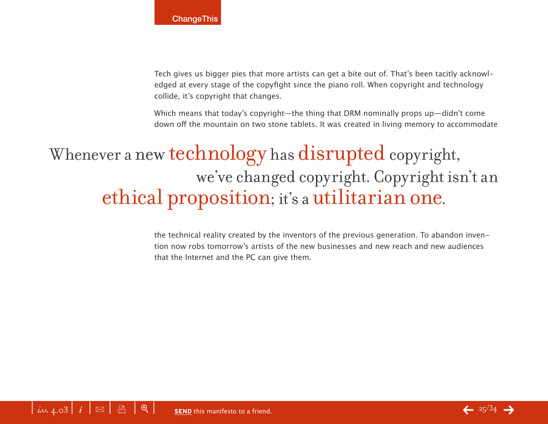Tech gives us bigger pies that more artists can get a bite out of. That's been tacitly acknowledged at every stage of the copyfight since the piano roll. When copyright and technology collide, it's copyright that changes.

Which means that today's copyright—the thing that DRM nominally props up—didn't come down off the mountain on two stone tablets. It was created in living memory to accommodate

# Whenever a new technology has disrupted copyright, we've changed copyright. Copyright isn't an ethical proposition; it's a utilitarian one.

the technical reality created by the inventors of the previous generation. To abandon invention now robs tomorrow's artists of the new businesses and new reach and new audiences that the Internet and the PC can give them.

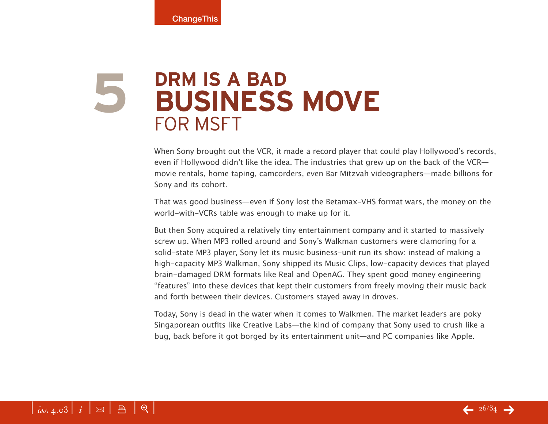#### **DRM IS A BAD BUSINESS MOVE** FOR MSFT **5**

When Sony brought out the VCR, it made a record player that could play Hollywood's records, even if Hollywood didn't like the idea. The industries that grew up on the back of the VCR movie rentals, home taping, camcorders, even Bar Mitzvah videographers—made billions for Sony and its cohort.

That was good business—even if Sony lost the Betamax-VHS format wars, the money on the world-with-VCRs table was enough to make up for it.

But then Sony acquired a relatively tiny entertainment company and it started to massively screw up. When MP3 rolled around and Sony's Walkman customers were clamoring for a solid-state MP3 player, Sony let its music business-unit run its show: instead of making a high-capacity MP3 Walkman, Sony shipped its Music Clips, low-capacity devices that played brain-damaged DRM formats like Real and OpenAG. They spent good money engineering "features" into these devices that kept their customers from freely moving their music back and forth between their devices. Customers stayed away in droves.

Today, Sony is dead in the water when it comes to Walkmen. The market leaders are poky Singaporean outfits like Creative Labs—the kind of company that Sony used to crush like a bug, back before it got borged by its entertainment unit—and PC companies like Apple.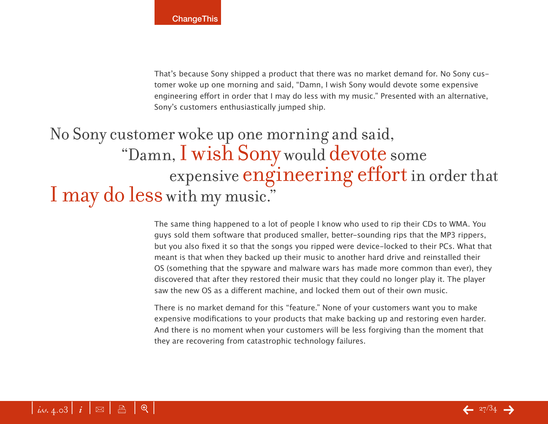That's because Sony shipped a product that there was no market demand for. No Sony customer woke up one morning and said, "Damn, I wish Sony would devote some expensive engineering effort in order that I may do less with my music." Presented with an alternative, Sony's customers enthusiastically jumped ship.

### No Sony customer woke up one morning and said, "Damn, I wish Sony would devote some expensive engineering effort in order that I may do less with my music."

The same thing happened to a lot of people I know who used to rip their CDs to WMA. You guys sold them software that produced smaller, better-sounding rips that the MP3 rippers, but you also fixed it so that the songs you ripped were device-locked to their PCs. What that meant is that when they backed up their music to another hard drive and reinstalled their OS (something that the spyware and malware wars has made more common than ever), they discovered that after they restored their music that they could no longer play it. The player saw the new OS as a different machine, and locked them out of their own music.

There is no market demand for this "feature." None of your customers want you to make expensive modifications to your products that make backing up and restoring even harder. And there is no moment when your customers will be less forgiving than the moment that they are recovering from catastrophic technology failures.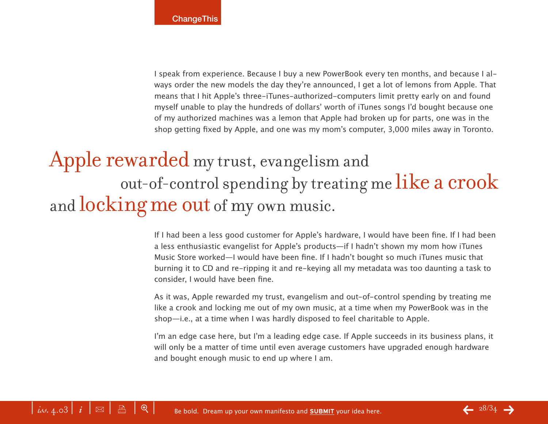I speak from experience. Because I buy a new PowerBook every ten months, and because I always order the new models the day they're announced, I get a lot of lemons from Apple. That means that I hit Apple's three-iTunes-authorized-computers limit pretty early on and found myself unable to play the hundreds of dollars' worth of iTunes songs I'd bought because one of my authorized machines was a lemon that Apple had broken up for parts, one was in the shop getting fixed by Apple, and one was my mom's computer, 3,000 miles away in Toronto.

Apple rewarded my trust, evangelism and out-of-control spending by treating me like a crook and locking me out of my own music.

> If I had been a less good customer for Apple's hardware, I would have been fine. If I had been a less enthusiastic evangelist for Apple's products—if I hadn't shown my mom how iTunes Music Store worked—I would have been fine. If I hadn't bought so much iTunes music that burning it to CD and re-ripping it and re-keying all my metadata was too daunting a task to consider, I would have been fine.

As it was, Apple rewarded my trust, evangelism and out-of-control spending by treating me like a crook and locking me out of my own music, at a time when my PowerBook was in the shop—i.e., at a time when I was hardly disposed to feel charitable to Apple.

I'm an edge case here, but I'm a leading edge case. If Apple succeeds in its business plans, it will only be a matter of time until even average customers have upgraded enough hardware and bought enough music to end up where I am.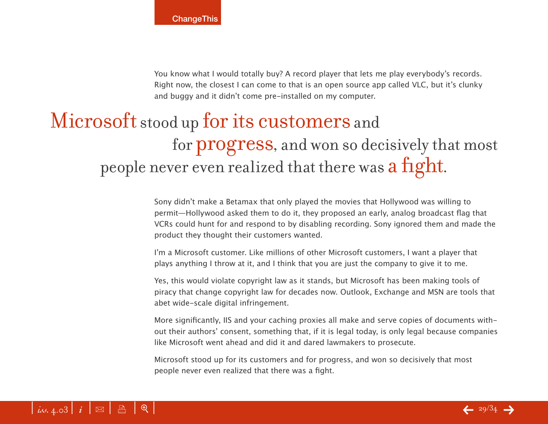You know what I would totally buy? A record player that lets me play everybody's records. Right now, the closest I can come to that is an open source app called VLC, but it's clunky and buggy and it didn't come pre-installed on my computer.

# Microsoft stood up for its customers and for progress, and won so decisively that most people never even realized that there was a fight.

Sony didn't make a Betamax that only played the movies that Hollywood was willing to permit—Hollywood asked them to do it, they proposed an early, analog broadcast flag that VCRs could hunt for and respond to by disabling recording. Sony ignored them and made the product they thought their customers wanted.

I'm a Microsoft customer. Like millions of other Microsoft customers, I want a player that plays anything I throw at it, and I think that you are just the company to give it to me.

Yes, this would violate copyright law as it stands, but Microsoft has been making tools of piracy that change copyright law for decades now. Outlook, Exchange and MSN are tools that abet wide-scale digital infringement.

More significantly, IIS and your caching proxies all make and serve copies of documents without their authors' consent, something that, if it is legal today, is only legal because companies like Microsoft went ahead and did it and dared lawmakers to prosecute.

Microsoft stood up for its customers and for progress, and won so decisively that most people never even realized that there was a fight.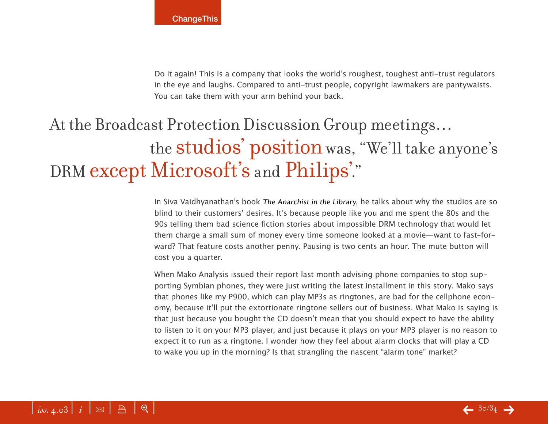Do it again! This is a company that looks the world's roughest, toughest anti-trust regulators in the eye and laughs. Compared to anti-trust people, copyright lawmakers are pantywaists. You can take them with your arm behind your back.

## At the Broadcast Protection Discussion Group meetings… the studios' position was, "We'll take anyone's DRM except Microsoft's and Philips'."

In Siva Vaidhyanathan's book The Anarchist in the Library, he talks about why the studios are so blind to their customers' desires. It's because people like you and me spent the 80s and the 90s telling them bad science fiction stories about impossible DRM technology that would let them charge a small sum of money every time someone looked at a movie—want to fast-forward? That feature costs another penny. Pausing is two cents an hour. The mute button will cost you a quarter.

When Mako Analysis issued their report last month advising phone companies to stop supporting Symbian phones, they were just writing the latest installment in this story. Mako says that phones like my P900, which can play MP3s as ringtones, are bad for the cellphone economy, because it'll put the extortionate ringtone sellers out of business. What Mako is saying is that just because you bought the CD doesn't mean that you should expect to have the ability to listen to it on your MP3 player, and just because it plays on your MP3 player is no reason to expect it to run as a ringtone. I wonder how they feel about alarm clocks that will play a CD to wake you up in the morning? Is that strangling the nascent "alarm tone" market?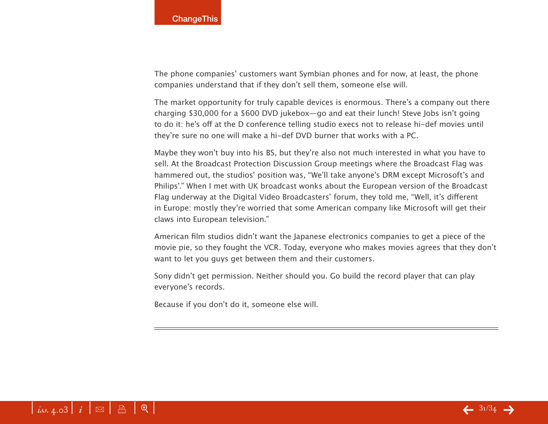The phone companies' customers want Symbian phones and for now, at least, the phone companies understand that if they don't sell them, someone else will.

The market opportunity for truly capable devices is enormous. There's a company out there charging \$30,000 for a \$600 DVD jukebox—go and eat their lunch! Steve Jobs isn't going to do it: he's off at the D conference telling studio execs not to release hi-def movies until they're sure no one will make a hi-def DVD burner that works with a PC.

Maybe they won't buy into his BS, but they're also not much interested in what you have to sell. At the Broadcast Protection Discussion Group meetings where the Broadcast Flag was hammered out, the studios' position was, "We'll take anyone's DRM except Microsoft's and Philips'." When I met with UK broadcast wonks about the European version of the Broadcast Flag underway at the Digital Video Broadcasters' forum, they told me, "Well, it's different in Europe: mostly they're worried that some American company like Microsoft will get their claws into European television."

American film studios didn't want the Japanese electronics companies to get a piece of the movie pie, so they fought the VCR. Today, everyone who makes movies agrees that they don't want to let you guys get between them and their customers.

Sony didn't get permission. Neither should you. Go build the record player that can play everyone's records.

Because if you don't do it, someone else will.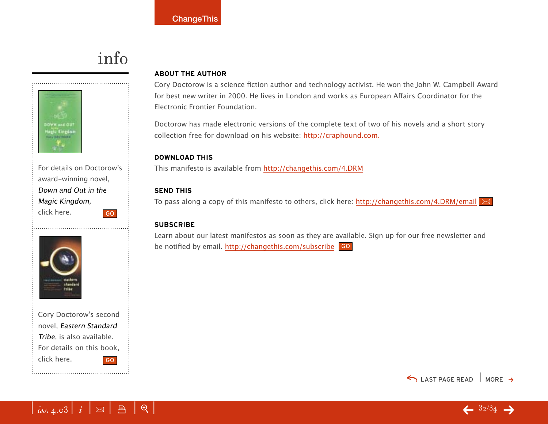### info



For details on Doctorow's award-winning novel, Down and Out in the Magic Kingdom, click here.



Cory Doctorow's second novel, Eastern Standard Tribe, is also available. For details on this book, click here.

#### **ABOUT THE AUTHOR**

Cory Doctorow is a science fiction author and technology activist. He won the John W. Campbell Award for best new writer in 2000. He lives in London and works as European Affairs Coordinator for the Electronic Frontier Foundation.

Doctorow has made electronic versions of the complete text of two of his novels and a short story collection free for download on his website: [http://craphound.com.](http://craphound.com)

#### **DOWNLOAD THIS**

This manifesto is available from <http://changethis.com/4.DRM>

#### **SEND THIS**

To pass along a copy of this manifesto to others, click here: <u>http://changethis.com/4.DRM/email  $\boxtimes$ </u>

#### **SUBSCRIBE**

Learn about our latest manifestos as soon as they are available. Sign up for our free newsletter and be notified by email.<http://changethis.com/subscribe> GO **SUBSCRIBE**<br>Learn about our latest manifestos as soon as they are avail<br>be notified by email. <u>http://changethis.com/subscribe</u> **GO**<br>conditions<br>ard<br>le.<br>ook,

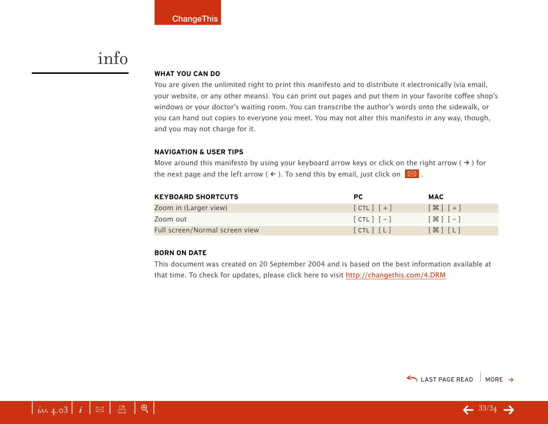#### info

#### **WHAT YOU CAN DO**

You are given the unlimited right to print this manifesto and to distribute it electronically (via email, your website, or any other means). You can print out pages and put them in your favorite coffee shop's windows or your doctor's waiting room. You can transcribe the author's words onto the sidewalk, or you can hand out copies to everyone you meet. You may not alter this manifesto in any way, though, and you may not charge for it.

#### **NAVIGATION & USER TIPS**

Move around this manifesto by using your keyboard arrow keys or click on the right arrow ( $\rightarrow$ ) for the next page and the left arrow (  $\leftarrow$  ). To send this by email, just click on  $\boxed{\boxtimes}$  .

| <b>KEYBOARD SHORTCUTS</b>      | PC.           | <b>MAC</b>                                                    |
|--------------------------------|---------------|---------------------------------------------------------------|
| Zoom in (Larger view)          | $[CIL]$ $[+]$ | $[$ $\frac{1}{2}$ $[$ $\frac{1}{2}$ $]$ $[$ $\frac{1}{2}$ $]$ |
| Zoom out                       | $[CIL]$ $[-]$ | $[$ $\mathcal{H}$ $]$ $[-]$                                   |
| Full screen/Normal screen view | [CHL] [L]     | $[$ $\mathcal{H}$ $]$ $[$ $\mathsf{L}$ $]$                    |

#### **BORN ON DATE**

This document was created on 20 September 2004 and is based on the best information available at that time. To check for updates, please click here to visit <http://changethis.com/4.DRM>



 $\leftarrow$  33/34